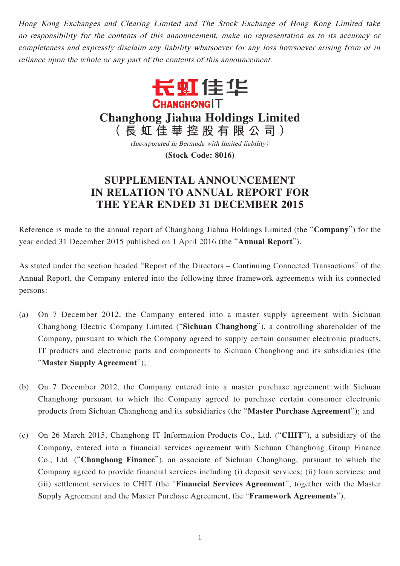Hong Kong Exchanges and Clearing Limited and The Stock Exchange of Hong Kong Limited take no responsibility for the contents of this announcement, make no representation as to its accuracy or completeness and expressly disclaim any liability whatsoever for any loss howsoever arising from or in reliance upon the whole or any part of the contents of this announcement.



**Changhong Jiahua Holdings Limited**

**(長虹佳華控股有限公司)**

(Incorporated in Bermuda with limited liability)

**(Stock Code: 8016)**

## **SUPPLEMENTAL ANNOUNCEMENT IN RELATION TO ANNUAL REPORT FOR THE YEAR ENDED 31 DECEMBER 2015**

Reference is made to the annual report of Changhong Jiahua Holdings Limited (the "**Company**") for the year ended 31 December 2015 published on 1 April 2016 (the "**Annual Report**").

As stated under the section headed "Report of the Directors – Continuing Connected Transactions" of the Annual Report, the Company entered into the following three framework agreements with its connected persons:

- (a) On 7 December 2012, the Company entered into a master supply agreement with Sichuan Changhong Electric Company Limited ("**Sichuan Changhong**"), a controlling shareholder of the Company, pursuant to which the Company agreed to supply certain consumer electronic products, IT products and electronic parts and components to Sichuan Changhong and its subsidiaries (the "**Master Supply Agreement**");
- (b) On 7 December 2012, the Company entered into a master purchase agreement with Sichuan Changhong pursuant to which the Company agreed to purchase certain consumer electronic products from Sichuan Changhong and its subsidiaries (the "**Master Purchase Agreement**"); and
- (c) On 26 March 2015, Changhong IT Information Products Co., Ltd. ("**CHIT**"), a subsidiary of the Company, entered into a financial services agreement with Sichuan Changhong Group Finance Co., Ltd. ("**Changhong Finance**"), an associate of Sichuan Changhong, pursuant to which the Company agreed to provide financial services including (i) deposit services; (ii) loan services; and (iii) settlement services to CHIT (the "**Financial Services Agreement**", together with the Master Supply Agreement and the Master Purchase Agreement, the "**Framework Agreements**").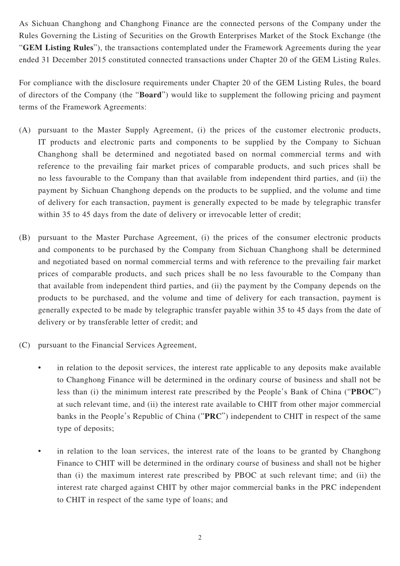As Sichuan Changhong and Changhong Finance are the connected persons of the Company under the Rules Governing the Listing of Securities on the Growth Enterprises Market of the Stock Exchange (the "**GEM Listing Rules**"), the transactions contemplated under the Framework Agreements during the year ended 31 December 2015 constituted connected transactions under Chapter 20 of the GEM Listing Rules.

For compliance with the disclosure requirements under Chapter 20 of the GEM Listing Rules, the board of directors of the Company (the "**Board**") would like to supplement the following pricing and payment terms of the Framework Agreements:

- (A) pursuant to the Master Supply Agreement, (i) the prices of the customer electronic products, IT products and electronic parts and components to be supplied by the Company to Sichuan Changhong shall be determined and negotiated based on normal commercial terms and with reference to the prevailing fair market prices of comparable products, and such prices shall be no less favourable to the Company than that available from independent third parties, and (ii) the payment by Sichuan Changhong depends on the products to be supplied, and the volume and time of delivery for each transaction, payment is generally expected to be made by telegraphic transfer within 35 to 45 days from the date of delivery or irrevocable letter of credit;
- (B) pursuant to the Master Purchase Agreement, (i) the prices of the consumer electronic products and components to be purchased by the Company from Sichuan Changhong shall be determined and negotiated based on normal commercial terms and with reference to the prevailing fair market prices of comparable products, and such prices shall be no less favourable to the Company than that available from independent third parties, and (ii) the payment by the Company depends on the products to be purchased, and the volume and time of delivery for each transaction, payment is generally expected to be made by telegraphic transfer payable within 35 to 45 days from the date of delivery or by transferable letter of credit; and
- (C) pursuant to the Financial Services Agreement,
	- in relation to the deposit services, the interest rate applicable to any deposits make available to Changhong Finance will be determined in the ordinary course of business and shall not be less than (i) the minimum interest rate prescribed by the People's Bank of China ("**PBOC**") at such relevant time, and (ii) the interest rate available to CHIT from other major commercial banks in the People's Republic of China ("**PRC**") independent to CHIT in respect of the same type of deposits;
	- in relation to the loan services, the interest rate of the loans to be granted by Changhong Finance to CHIT will be determined in the ordinary course of business and shall not be higher than (i) the maximum interest rate prescribed by PBOC at such relevant time; and (ii) the interest rate charged against CHIT by other major commercial banks in the PRC independent to CHIT in respect of the same type of loans; and